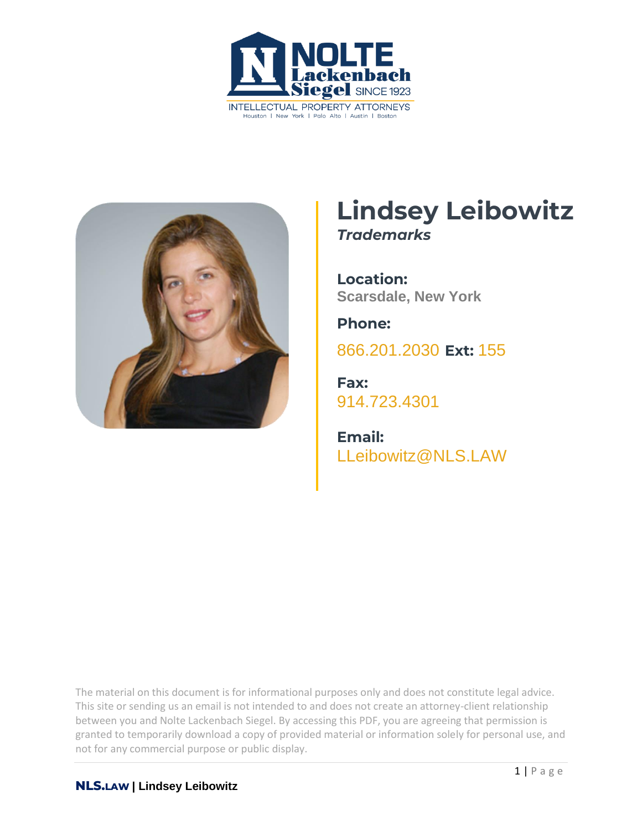



## **Lindsey Leibowitz** *Trademarks*

**Location: Scarsdale, New York** 

**Phone:**

[866.201.2030](tel:+1942629223) **Ext:** 155

**Fax:** [914.723.4301](tel:+19147234301)

**Email:** [LLeibowitz@NLS.LAW](mailto:LLeibowitz@nls.law)

The material on this document is for informational purposes only and does not constitute legal advice. This site or sending us an email is not intended to and does not create an attorney-client relationship between you and Nolte Lackenbach Siegel. By accessing this PDF, you are agreeing that permission is granted to temporarily download a copy of provided material or information solely for personal use, and not for any commercial purpose or public display.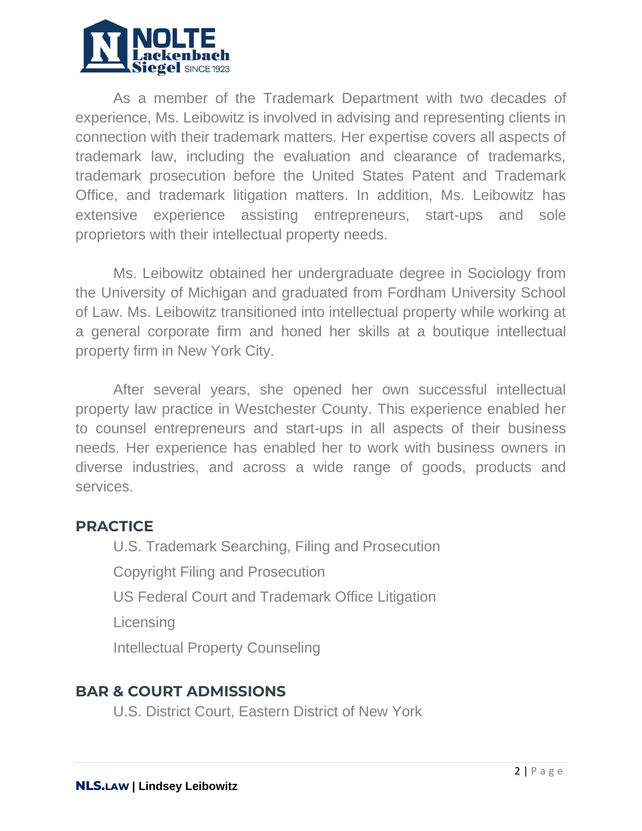

As a member of the Trademark Department with two decades of experience, Ms. Leibowitz is involved in advising and representing clients in connection with their trademark matters. Her expertise covers all aspects of trademark law, including the evaluation and clearance of trademarks, trademark prosecution before the United States Patent and Trademark Office, and trademark litigation matters. In addition, Ms. Leibowitz has extensive experience assisting entrepreneurs, start-ups and sole proprietors with their intellectual property needs.

Ms. Leibowitz obtained her undergraduate degree in Sociology from the University of Michigan and graduated from Fordham University School of Law. Ms. Leibowitz transitioned into intellectual property while working at a general corporate firm and honed her skills at a boutique intellectual property firm in New York City.

After several years, she opened her own successful intellectual property law practice in Westchester County. This experience enabled her to counsel entrepreneurs and start-ups in all aspects of their business needs. Her experience has enabled her to work with business owners in diverse industries, and across a wide range of goods, products and services.

## **PRACTICE**

U.S. Trademark Searching, Filing and Prosecution Copyright Filing and Prosecution US Federal Court and Trademark Office Litigation **Licensing** Intellectual Property Counseling

## **BAR & COURT ADMISSIONS**

U.S. District Court, Eastern District of New York